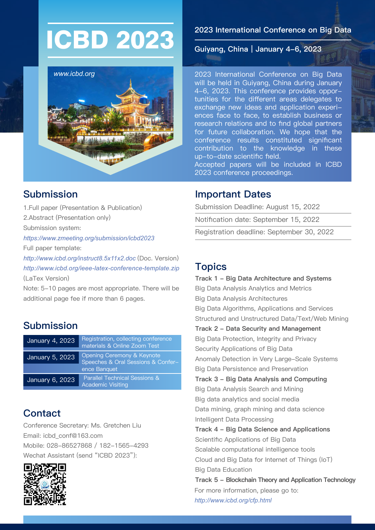# ICBD 2023 International Conference on B<br>Guiyang, China | January 4-6, 2023



# Submission

1.Full paper (Presentation & Publication) 2.Abstract (Presentation only) Submission system: *https://www.zmeeting.org/submission/icbd2023*  Full paper template: *http://www.icbd.org/instruct8.5x11x2.doc* (Doc. Version) *http://www.icbd.org/ieee-latex-conference-template.zip* 

(LaTex Version)

Note: 5-10 pages are most appropriate. There will be additional page fee if more than 6 pages.

# **Submission**

| January 4, 2023 | Registration, collecting conference<br>materials & Online Zoom Test |
|-----------------|---------------------------------------------------------------------|
| January 5, 2023 | Opening Ceremony & Keynote<br>Speeches & Oral Sessions & Confer-    |
|                 | ence Banquet                                                        |
| January 6, 2023 | Parallel Technical Sessions &<br><b>Academic Visiting</b>           |
|                 |                                                                     |

# **Contact**

Conference Secretary: Ms. Gretchen Liu Email: icbd\_conf@163.com Mobile: 028-86527868 / 182-1565-4293 Wechat Assistant (send "ICBD 2023"):



#### 2023 International Conference on Big Data

2023 International Conference on Big Data will be held in Guiyang, China during January 4-6, 2023. This conference provides opportunities for the different areas delegates to exchange new ideas and application experiences face to face, to establish business or research relations and to find global partners for future collaboration. We hope that the conference results constituted significant contribution to the knowledge in these up-to-date scientific field.

Accepted papers will be included in ICBD 2023 conference proceedings.

### Important Dates

Submission Deadline: August 15, 2022

Notification date: September 15, 2022

Registration deadline: September 30, 2022

### Topics

Track 1 - Big Data Architecture and Systems Big Data Analysis Analytics and Metrics Big Data Analysis Architectures Big Data Algorithms, Applications and Services Structured and Unstructured Data/Text/Web Mining Track 2 - Data Security and Management Big Data Protection, Integrity and Privacy Security Applications of Big Data Anomaly Detection in Very Large-Scale Systems Big Data Persistence and Preservation Track 3 - Big Data Analysis and Computing Big Data Analysis Search and Mining Big data analytics and social media Data mining, graph mining and data science Intelligent Data Processing Track 4 - Big Data Science and Applications Scientific Applications of Big Data Scalable computational intelligence tools Cloud and Big Data for Internet of Things (IoT) Big Data Education Track 5 - Blockchain Theory and Application Technology For more information, please go to: *http://www.icbd.org/cfp.html*